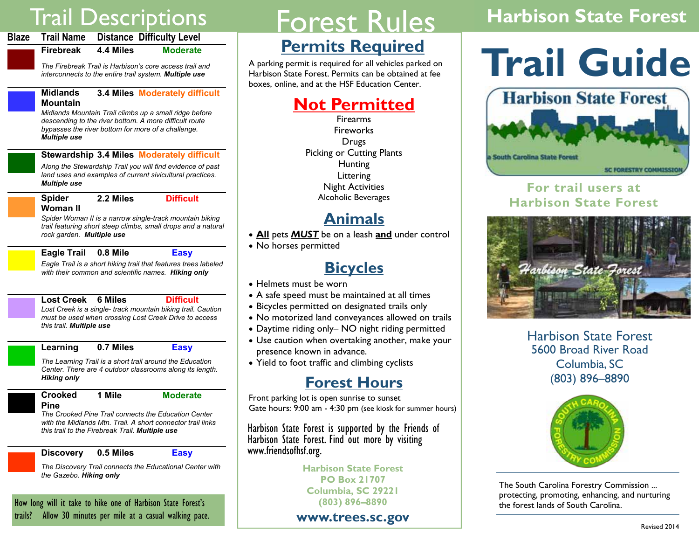# Trail Descriptions

|           |           | Blaze Trail Name Distance Difficulty Level |
|-----------|-----------|--------------------------------------------|
| Firebreak | 4.4 Miles | <b>Moderate</b>                            |

*The Firebreak Trail is Harbison's core access trail and interconnects to the entire trail system. Multiple use* 

#### **Midlands Mountain 3.4 Miles Moderately difficult**

*Midlands Mountain Trail climbs up a small ridge before descending to the river bottom. A more difficult route bypasses the river bottom for more of a challenge. Multiple use* 

**Stewardship 3.4 Miles Moderately difficult** 

*Along the Stewardship Trail you will find evidence of past land uses and examples of current sivicultural practices. Multiple use* 

**Spider Woman II 2.2 Miles Difficult** 

*Spider Woman II is a narrow single-track mountain biking trail featuring short steep climbs, small drops and a natural rock garden. Multiple use* 

**Eagle Trail 0.8 Mile Easy** 

*Eagle Trail is a short hiking trail that features trees labeled with their common and scientific names. Hiking only* 

#### **Lost Creek 6 Miles Difficult**

*Lost Creek is a single- track mountain biking trail. Caution must be used when crossing Lost Creek Drive to access this trail. Multiple use* 

**Learning 0.7 Miles Easy** 

*The Learning Trail is a short trail around the Education Center. There are 4 outdoor classrooms along its length. Hiking only* 

**Crooked Pine 1 Mile Moderate** 

 *The Crooked Pine Trail connects the Education Center with the Midlands Mtn. Trail. A short connector trail links this trail to the Firebreak Trail. Multiple use* 

#### **Discovery 0.5 Miles Easy**

*The Discovery Trail connects the Educational Center with the Gazebo. Hiking only* 

How long will it take to hike one of Harbison State Forest's trails? Allow 30 minutes per mile at a casual walking pace.

# Forest Rules

## **Permits Required**

A parking permit is required for all vehicles parked on Harbison State Forest. Permits can be obtained at fee boxes, online, and at the HSF Education Center.

## **Not Permitted**

Firearms **Fireworks** Drugs Picking or Cutting Plants **Hunting Littering** Night Activities Alcoholic Beverages

### **Animals**

- **All** pets *MUST* be on a leash **and** under control
- No horses permitted

### **Bicycles**

- Helmets must be worn
- A safe speed must be maintained at all times
- Bicycles permitted on designated trails only
- No motorized land conveyances allowed on trails
- Daytime riding only– NO night riding permitted
- Use caution when overtaking another, make your presence known in advance.
- Yield to foot traffic and climbing cyclists

### **Forest Hours**

Front parking lot is open sunrise to sunset Gate hours: 9:00 am - 4:30 pm (see kiosk for summer hours)

Harbison State Forest is supported by the Friends of Harbison State Forest. Find out more by visiting www.friendsofhsf.org.

**Harbison State Forest PO Box 21707 Columbia, SC 29221 (803) 896–8890** 

#### **www.trees.sc.gov**

# **Harbison State Forest**

# **Trail Guide**



### **For trail users at Harbison State Forest**



Harbison State Forest 5600 Broad River Road Columbia, SC (803) 896–8890



The South Carolina Forestry Commission ... protecting, promoting, enhancing, and nurturing the forest lands of South Carolina.